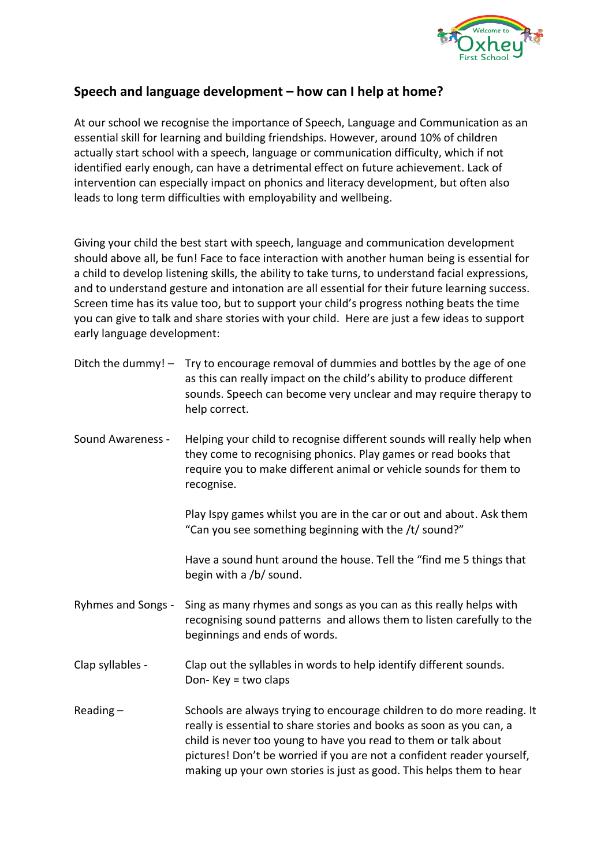

## **Speech and language development – how can I help at home?**

At our school we recognise the importance of Speech, Language and Communication as an essential skill for learning and building friendships. However, around 10% of children actually start school with a speech, language or communication difficulty, which if not identified early enough, can have a detrimental effect on future achievement. Lack of intervention can especially impact on phonics and literacy development, but often also leads to long term difficulties with employability and wellbeing.

Giving your child the best start with speech, language and communication development should above all, be fun! Face to face interaction with another human being is essential for a child to develop listening skills, the ability to take turns, to understand facial expressions, and to understand gesture and intonation are all essential for their future learning success. Screen time has its value too, but to support your child's progress nothing beats the time you can give to talk and share stories with your child. Here are just a few ideas to support early language development:

| Ditch the dummy! $-$ | Try to encourage removal of dummies and bottles by the age of one<br>as this can really impact on the child's ability to produce different<br>sounds. Speech can become very unclear and may require therapy to<br>help correct.                                                                                                                                   |
|----------------------|--------------------------------------------------------------------------------------------------------------------------------------------------------------------------------------------------------------------------------------------------------------------------------------------------------------------------------------------------------------------|
| Sound Awareness -    | Helping your child to recognise different sounds will really help when<br>they come to recognising phonics. Play games or read books that<br>require you to make different animal or vehicle sounds for them to<br>recognise.                                                                                                                                      |
|                      | Play Ispy games whilst you are in the car or out and about. Ask them<br>"Can you see something beginning with the /t/ sound?"                                                                                                                                                                                                                                      |
|                      | Have a sound hunt around the house. Tell the "find me 5 things that<br>begin with a /b/ sound.                                                                                                                                                                                                                                                                     |
| Ryhmes and Songs -   | Sing as many rhymes and songs as you can as this really helps with<br>recognising sound patterns and allows them to listen carefully to the<br>beginnings and ends of words.                                                                                                                                                                                       |
| Clap syllables -     | Clap out the syllables in words to help identify different sounds.<br>Don-Key = two claps                                                                                                                                                                                                                                                                          |
| Reading $-$          | Schools are always trying to encourage children to do more reading. It<br>really is essential to share stories and books as soon as you can, a<br>child is never too young to have you read to them or talk about<br>pictures! Don't be worried if you are not a confident reader yourself,<br>making up your own stories is just as good. This helps them to hear |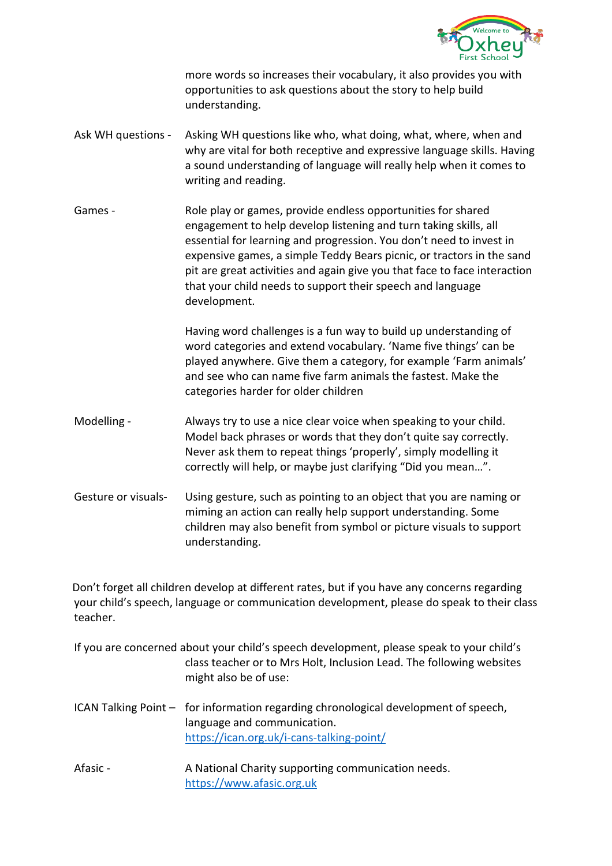

more words so increases their vocabulary, it also provides you with opportunities to ask questions about the story to help build understanding.

- Ask WH questions Asking WH questions like who, what doing, what, where, when and why are vital for both receptive and expressive language skills. Having a sound understanding of language will really help when it comes to writing and reading.
- Games Role play or games, provide endless opportunities for shared engagement to help develop listening and turn taking skills, all essential for learning and progression. You don't need to invest in expensive games, a simple Teddy Bears picnic, or tractors in the sand pit are great activities and again give you that face to face interaction that your child needs to support their speech and language development.

Having word challenges is a fun way to build up understanding of word categories and extend vocabulary. 'Name five things' can be played anywhere. Give them a category, for example 'Farm animals' and see who can name five farm animals the fastest. Make the categories harder for older children

- Modelling Always try to use a nice clear voice when speaking to your child. Model back phrases or words that they don't quite say correctly. Never ask them to repeat things 'properly', simply modelling it correctly will help, or maybe just clarifying "Did you mean…".
- Gesture or visuals- Using gesture, such as pointing to an object that you are naming or miming an action can really help support understanding. Some children may also benefit from symbol or picture visuals to support understanding.

Don't forget all children develop at different rates, but if you have any concerns regarding your child's speech, language or communication development, please do speak to their class teacher.

- If you are concerned about your child's speech development, please speak to your child's class teacher or to Mrs Holt, Inclusion Lead. The following websites might also be of use:
- ICAN Talking Point for information regarding chronological development of speech, language and communication. <https://ican.org.uk/i-cans-talking-point/>
- Afasic A National Charity supporting communication needs. [https://www.afasic.org.uk](https://www.afasic.org.uk/)